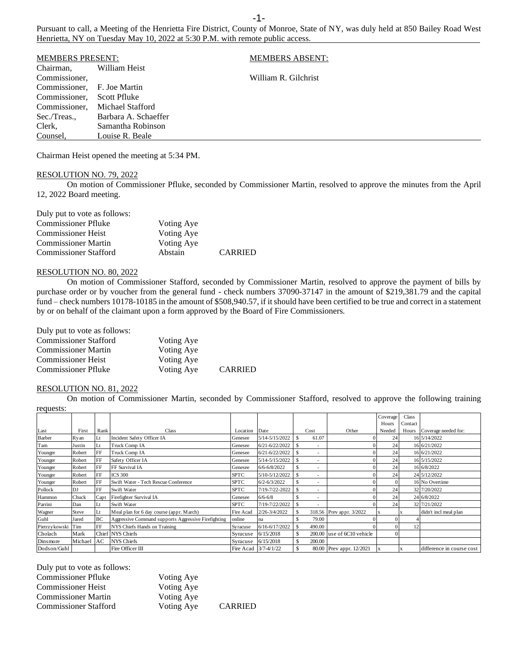Pursuant to call, a Meeting of the Henrietta Fire District, County of Monroe, State of NY, was duly held at 850 Bailey Road West Henrietta, NY on Tuesday May 10, 2022 at 5:30 P.M. with remote public access.

| <b>MEMBERS PRESENT:</b>     |                      | <b>MEMBERS ABSENT:</b> |
|-----------------------------|----------------------|------------------------|
| Chairman,                   | William Heist        |                        |
| Commissioner,               |                      | William R. Gilchrist   |
| Commissioner. F. Joe Martin |                      |                        |
| Commissioner.               | Scott Pfluke         |                        |
| Commissioner.               | Michael Stafford     |                        |
| Sec./Treas.,                | Barbara A. Schaeffer |                        |
| Clerk,                      | Samantha Robinson    |                        |
| Counsel,                    | Louise R. Beale      |                        |

Chairman Heist opened the meeting at 5:34 PM.

#### RESOLUTION NO. 79, 2022

On motion of Commissioner Pfluke, seconded by Commissioner Martin, resolved to approve the minutes from the April 12, 2022 Board meeting.

| Duly put to vote as follows: |            |                |
|------------------------------|------------|----------------|
| <b>Commissioner Pfluke</b>   | Voting Aye |                |
| <b>Commissioner Heist</b>    | Voting Aye |                |
| <b>Commissioner Martin</b>   | Voting Aye |                |
| <b>Commissioner Stafford</b> | Abstain    | <b>CARRIED</b> |

### RESOLUTION NO. 80, 2022

On motion of Commissioner Stafford, seconded by Commissioner Martin, resolved to approve the payment of bills by purchase order or by voucher from the general fund - check numbers 37090-37147 in the amount of \$219,381.79 and the capital fund – check numbers 10178-10185 in the amount of \$508,940.57, if it should have been certified to be true and correct in a statement by or on behalf of the claimant upon a form approved by the Board of Fire Commissioners.

Duly put to vote as follows:

| <b>Commissioner Stafford</b> | Voting Aye |                |
|------------------------------|------------|----------------|
| <b>Commissioner Martin</b>   | Voting Aye |                |
| <b>Commissioner Heist</b>    | Voting Aye |                |
| <b>Commissioner Pfluke</b>   | Voting Aye | <b>CARRIED</b> |

#### RESOLUTION NO. 81, 2022

On motion of Commissioner Martin, seconded by Commissioner Stafford, resolved to approve the following training requests:

| roquosus.         |         |            |                                                     |                      |                  |                          |                          |          |         |                            |
|-------------------|---------|------------|-----------------------------------------------------|----------------------|------------------|--------------------------|--------------------------|----------|---------|----------------------------|
|                   |         |            |                                                     |                      |                  |                          |                          | Coverage | Class   |                            |
|                   |         |            |                                                     |                      |                  |                          |                          | Hours    | Contact |                            |
| Last              | First   | Rank       | <b>Class</b>                                        | Location             | Date             | Cost                     | Other                    | Needed   |         | Hours Coverage needed for: |
| <b>Barber</b>     | Ryan    | Lt         | Incident Safety Officer IA                          | Genesee              | 5/14-5/15/2022   | 61.07                    |                          | 24       |         | 16 5/14/2022               |
| Tam               | Justin  | Lt         | Truck Comp IA                                       | Genesee              | 6/21-6/22/2022   |                          |                          | 24       |         | 16 6/21/2022               |
| Younger           | Robert  | <b>FF</b>  | Truck Comp IA                                       | Genesee              | 6/21-6/22/2022   | $\overline{\phantom{a}}$ |                          | 24       |         | 16 6/21/2022               |
| Younger           | Robert  | <b>IFF</b> | Safety Officer IA                                   | Genesee              | 5/14-5/15/2022   |                          |                          | 24       |         | 16 5/15/2022               |
| Younger           | Robert  | <b>FF</b>  | FF Survival IA                                      | Genesee              | $6/6 - 6/8/2022$ | $\overline{\phantom{a}}$ |                          | 24       |         | 16 6/8/2022                |
| Younger           | Robert  | <b>IFF</b> | <b>ICS 300</b>                                      | <b>SPTC</b>          | 5/10-5/12/2022   |                          |                          | 24       |         | 24 5/12/2022               |
| Younger           | Robert  | <b>IFF</b> | Swift Water - Tech Rescue Conference                | <b>SPTC</b>          | $6/2 - 6/3/2022$ |                          |                          |          |         | 16 No Overtime             |
| Pollock           | DJ      | FF         | Swift Water                                         | <b>SPTC</b>          | 7/19-7/22-2022   |                          |                          | 24       |         | 32 7/20/2022               |
| Hammon            | Chuck   | Capt       | Firefighter Survival IA                             | Genesee              | $6/6 - 6/8$      | $\overline{\phantom{a}}$ |                          | 24       |         | 24 6/8/2022                |
| Parrini           | Dan     | Lt         | Swift Water                                         | <b>SPTC</b>          | 7/19-7/22/2022   |                          |                          | 24       |         | 32 7/21/2022               |
| Wagner            | Steve   | Lt         | Meal plan for 6 day course (appr. March)            | Fire Acad            | 2/26-3/4/2022    |                          | 318.56 Prev appr. 3/2022 |          |         | didn't incl meal plan      |
| Guhl              | Jared   | <b>BC</b>  | Aggressive Command supports Aggressive Firefighting | online               | na               | 79.00                    |                          |          |         |                            |
| Pietrzykowski Tim |         | FF         | NYS Chiefs Hands on Training                        | Syracuse             | 6/16-6/17/2022   | 490.00                   |                          |          | 12      |                            |
| Cholach           | Mark    |            | Chief NYS Chiefs                                    | Syracuse             | 6/15/2018        | 200.00                   | use of 6C10 vehicle      |          |         |                            |
| Dinsmore          | Michael | AC         | <b>NYS Chiefs</b>                                   | Syracuse             | 6/15/2018        | 200.00                   |                          |          |         |                            |
| Dodson/Guhl       |         |            | Fire Officer III                                    | Fire Acad 3/7-4/1/22 |                  |                          | 80.00 Prev appr. 12/2021 |          |         | difference in course cost  |

| Duly put to vote as follows: |            |                |
|------------------------------|------------|----------------|
| <b>Commissioner Pfluke</b>   | Voting Aye |                |
| <b>Commissioner Heist</b>    | Voting Aye |                |
| <b>Commissioner Martin</b>   | Voting Aye |                |
| <b>Commissioner Stafford</b> | Voting Aye | <b>CARRIED</b> |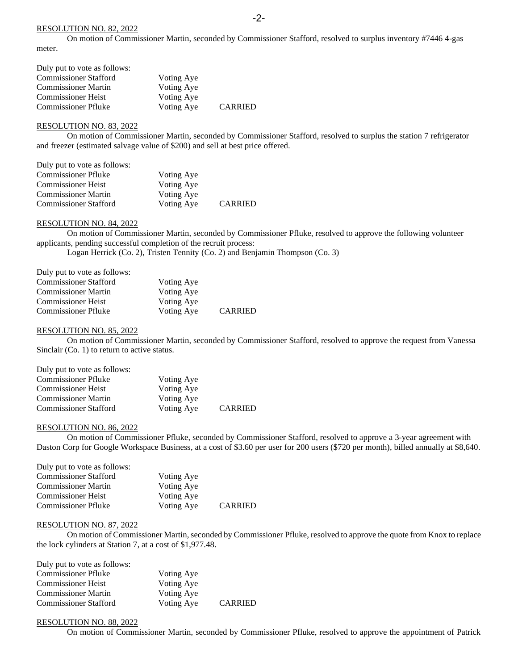#### RESOLUTION NO. 82, 2022

On motion of Commissioner Martin, seconded by Commissioner Stafford, resolved to surplus inventory #7446 4-gas meter.

| Duly put to vote as follows: |            |                |
|------------------------------|------------|----------------|
| <b>Commissioner Stafford</b> | Voting Aye |                |
| <b>Commissioner Martin</b>   | Voting Aye |                |
| <b>Commissioner Heist</b>    | Voting Aye |                |
| <b>Commissioner Pfluke</b>   | Voting Aye | <b>CARRIED</b> |

# RESOLUTION NO. 83, 2022

On motion of Commissioner Martin, seconded by Commissioner Stafford, resolved to surplus the station 7 refrigerator and freezer (estimated salvage value of \$200) and sell at best price offered.

| Duly put to vote as follows: |            |                |
|------------------------------|------------|----------------|
| <b>Commissioner Pfluke</b>   | Voting Aye |                |
| <b>Commissioner Heist</b>    | Voting Aye |                |
| <b>Commissioner Martin</b>   | Voting Aye |                |
| <b>Commissioner Stafford</b> | Voting Aye | <b>CARRIED</b> |

# RESOLUTION NO. 84, 2022

On motion of Commissioner Martin, seconded by Commissioner Pfluke, resolved to approve the following volunteer applicants, pending successful completion of the recruit process:

Logan Herrick (Co. 2), Tristen Tennity (Co. 2) and Benjamin Thompson (Co. 3)

| Duly put to vote as follows: |            |                |
|------------------------------|------------|----------------|
| <b>Commissioner Stafford</b> | Voting Aye |                |
| <b>Commissioner Martin</b>   | Voting Aye |                |
| <b>Commissioner Heist</b>    | Voting Aye |                |
| <b>Commissioner Pfluke</b>   | Voting Aye | <b>CARRIED</b> |

#### RESOLUTION NO. 85, 2022

On motion of Commissioner Martin, seconded by Commissioner Stafford, resolved to approve the request from Vanessa Sinclair (Co. 1) to return to active status.

| Duly put to vote as follows: |            |                |
|------------------------------|------------|----------------|
| <b>Commissioner Pfluke</b>   | Voting Aye |                |
| <b>Commissioner Heist</b>    | Voting Aye |                |
| <b>Commissioner Martin</b>   | Voting Aye |                |
| <b>Commissioner Stafford</b> | Voting Aye | <b>CARRIED</b> |

#### RESOLUTION NO. 86, 2022

On motion of Commissioner Pfluke, seconded by Commissioner Stafford, resolved to approve a 3-year agreement with Daston Corp for Google Workspace Business, at a cost of \$3.60 per user for 200 users (\$720 per month), billed annually at \$8,640.

| Duly put to vote as follows: |            |                |
|------------------------------|------------|----------------|
| <b>Commissioner Stafford</b> | Voting Aye |                |
| <b>Commissioner Martin</b>   | Voting Aye |                |
| <b>Commissioner Heist</b>    | Voting Aye |                |
| <b>Commissioner Pfluke</b>   | Voting Aye | <b>CARRIED</b> |

# RESOLUTION NO. 87, 2022

On motion of Commissioner Martin, seconded by Commissioner Pfluke, resolved to approve the quote from Knox to replace the lock cylinders at Station 7, at a cost of \$1,977.48.

| Duly put to vote as follows: |            |                |
|------------------------------|------------|----------------|
| <b>Commissioner Pfluke</b>   | Voting Aye |                |
| <b>Commissioner Heist</b>    | Voting Aye |                |
| <b>Commissioner Martin</b>   | Voting Aye |                |
| <b>Commissioner Stafford</b> | Voting Aye | <b>CARRIED</b> |

## RESOLUTION NO. 88, 2022

On motion of Commissioner Martin, seconded by Commissioner Pfluke, resolved to approve the appointment of Patrick